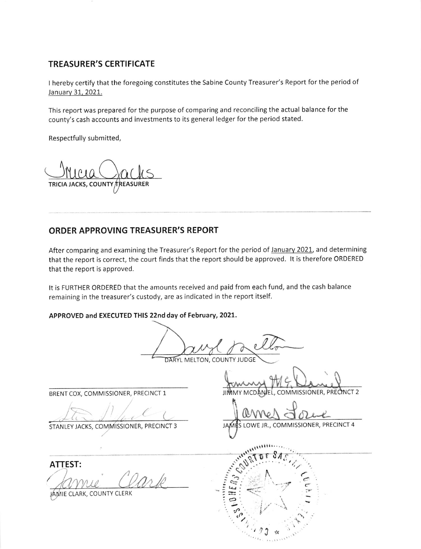## TREASURER'S CERTIFICATE

<sup>I</sup>hereby certify that the foregoing constitutes the Sabine County Treasurer's Report for the period of January 31, 2021.

This report was prepared for the purpose of comparing and reconciling the actual balance for the county's cash accounts and investments to its general ledger for the period stated.

Respectfully submitted,

TRICIA JACKS, COUNTY TREASURER

## ORDER APPROVING TREASURER'S REPORT

After comparing and examining the Treasurer's Report for the period of January 2021, and determining that the report is correct, the court finds that the report should be approved. lt is therefore ORDERED that the report is approved.

It is FURTHER ORDERED that the amounts received and paid from each fund, and the cash balance remaining in the treasurer's custody, are as indicated in the report itself.

APPROVED and ExECUTED THIS 22nd day of February,2OZL.

DARYL MELTON, COUNTY JUDGE  $\overline{\mathcal{U}_{\sigma-}}$ 

t,

STANLEY JACKS, COMMISSIONER, PRECINCT 3

ATTEST:  $'$ Das lo  $\gamma$ 

JAMIE CLARK, COUNTY CLERK

BRENT COX, COMMISSIONER, PRECINCT 1 JIMMY MCDANIEL, COMMISSIONER, PRECINCT 2

(

LOWE JR,, COMMISSIONER, PRECINCT 4 **JAME** 

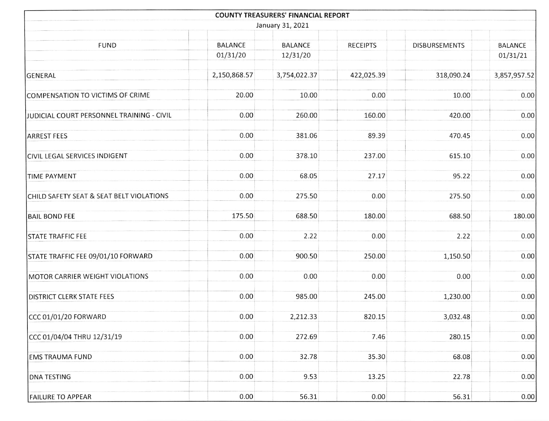|                                           |                | <b>COUNTY TREASURERS' FINANCIAL REPORT</b> |                 |                      |                |
|-------------------------------------------|----------------|--------------------------------------------|-----------------|----------------------|----------------|
|                                           |                | January 31, 2021                           |                 |                      |                |
| <b>FUND</b>                               | <b>BALANCE</b> | <b>BALANCE</b>                             | <b>RECEIPTS</b> | <b>DISBURSEMENTS</b> | <b>BALANCE</b> |
|                                           | 01/31/20       | 12/31/20                                   |                 |                      | 01/31/21       |
| GENERAL                                   | 2,150,868.57   | 3,754,022.37                               | 422,025.39      | 318,090.24           | 3,857,957.52   |
| COMPENSATION TO VICTIMS OF CRIME          | 20.00          | 10.00                                      | 0.00            | 10.00                | 0.00           |
| JUDICIAL COURT PERSONNEL TRAINING - CIVIL | 0.00           | 260.00                                     | 160.00          | 420.00               | 0.00           |
| <b>ARREST FEES</b>                        | 0.00           | 381.06                                     | 89.39           | 470.45               | 0.00           |
| <b>CIVIL LEGAL SERVICES INDIGENT</b>      | 0.00           | 378.10                                     | 237.00          | 615.10               | 0.00           |
| <b>TIME PAYMENT</b>                       | 0.00           | 68.05                                      | 27.17           | 95.22                | 0.00           |
| CHILD SAFETY SEAT & SEAT BELT VIOLATIONS  | 0.00           | 275.50                                     | 0.00            | 275.50               | 0.00           |
| <b>BAIL BOND FEE</b>                      | 175.50         | 688.50                                     | 180.00          | 688.50               | 180.00         |
| <b>STATE TRAFFIC FEE</b>                  | 0.00           | 2.22                                       | 0.00            | 2.22                 | 0.00           |
| STATE TRAFFIC FEE 09/01/10 FORWARD        | 0.00           | 900.50                                     | 250.00          | 1,150.50             | 0.00           |
| MOTOR CARRIER WEIGHT VIOLATIONS           | 0.00           | 0.00                                       | 0.00            | 0.00                 | 0.00           |
| <b>DISTRICT CLERK STATE FEES</b>          | 0.00           | 985.00                                     | 245.00          | 1,230.00             | 0.00           |
| CCC 01/01/20 FORWARD                      | 0.00           | 2,212.33                                   | 820.15          | 3,032.48             | 0.00           |
| CCC 01/04/04 THRU 12/31/19                | 0.00           | 272.69                                     | 7.46            | 280.15               | 0.00           |
| <b>EMS TRAUMA FUND</b>                    | 0.00           | 32.78                                      | 35.30           | 68.08                | 0.00           |
| <b>DNA TESTING</b>                        | 0.00           | 9.53                                       | 13.25           | 22.78                | 0.00           |
| <b>FAILURE TO APPEAR</b>                  | 0.00           | 56.31                                      | 0.00            | 56.31                | 0.00           |